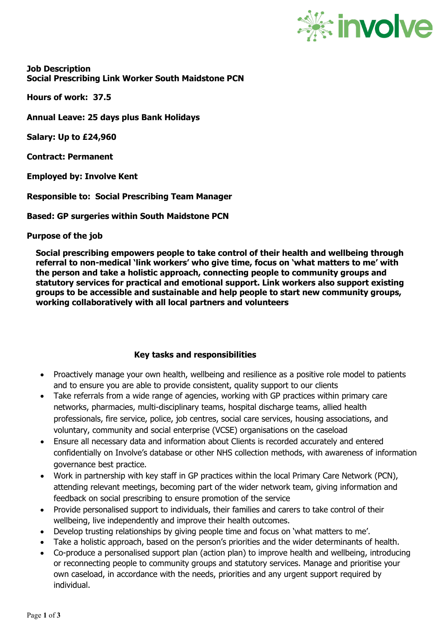

**Job Description Social Prescribing Link Worker South Maidstone PCN**

**Hours of work: 37.5**

**Annual Leave: 25 days plus Bank Holidays**

**Salary: Up to £24,960**

**Contract: Permanent**

**Employed by: Involve Kent**

**Responsible to: Social Prescribing Team Manager**

**Based: GP surgeries within South Maidstone PCN**

**Purpose of the job**

**Social prescribing empowers people to take control of their health and wellbeing through referral to non-medical 'link workers' who give time, focus on 'what matters to me' with the person and take a holistic approach, connecting people to community groups and statutory services for practical and emotional support. Link workers also support existing groups to be accessible and sustainable and help people to start new community groups, working collaboratively with all local partners and volunteers**

## **Key tasks and responsibilities**

- Proactively manage your own health, wellbeing and resilience as a positive role model to patients and to ensure you are able to provide consistent, quality support to our clients
- Take referrals from a wide range of agencies, working with GP practices within primary care networks, pharmacies, multi-disciplinary teams, hospital discharge teams, allied health professionals, fire service, police, job centres, social care services, housing associations, and voluntary, community and social enterprise (VCSE) organisations on the caseload
- Ensure all necessary data and information about Clients is recorded accurately and entered confidentially on Involve's database or other NHS collection methods, with awareness of information governance best practice.
- Work in partnership with key staff in GP practices within the local Primary Care Network (PCN), attending relevant meetings, becoming part of the wider network team, giving information and feedback on social prescribing to ensure promotion of the service
- Provide personalised support to individuals, their families and carers to take control of their wellbeing, live independently and improve their health outcomes.
- Develop trusting relationships by giving people time and focus on 'what matters to me'.
- Take a holistic approach, based on the person's priorities and the wider determinants of health.
- Co-produce a personalised support plan (action plan) to improve health and wellbeing, introducing or reconnecting people to community groups and statutory services. Manage and prioritise your own caseload, in accordance with the needs, priorities and any urgent support required by individual.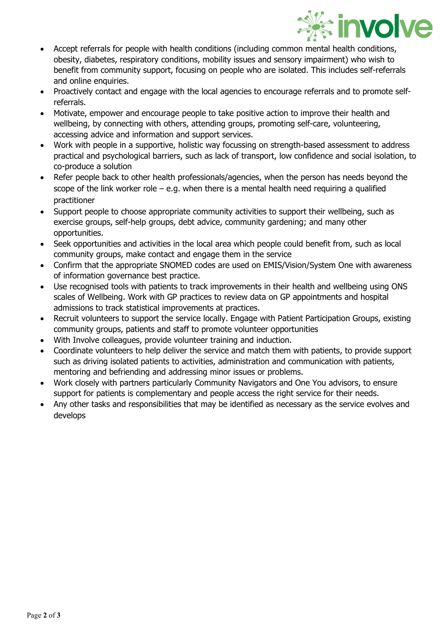

- Accept referrals for people with health conditions (including common mental health conditions, obesity, diabetes, respiratory conditions, mobility issues and sensory impairment) who wish to benefit from community support, focusing on people who are isolated. This includes self-referrals and online enquiries.
- Proactively contact and engage with the local agencies to encourage referrals and to promote selfreferrals.
- Motivate, empower and encourage people to take positive action to improve their health and wellbeing, by connecting with others, attending groups, promoting self-care, volunteering, accessing advice and information and support services.
- Work with people in a supportive, holistic way focussing on strength-based assessment to address practical and psychological barriers, such as lack of transport, low confidence and social isolation, to co-produce a solution
- Refer people back to other health professionals/agencies, when the person has needs beyond the scope of the link worker role – e.g. when there is a mental health need requiring a qualified practitioner
- Support people to choose appropriate community activities to support their wellbeing, such as exercise groups, self-help groups, debt advice, community gardening; and many other opportunities.
- Seek opportunities and activities in the local area which people could benefit from, such as local community groups, make contact and engage them in the service
- Confirm that the appropriate SNOMED codes are used on EMIS/Vision/System One with awareness of information governance best practice.
- Use recognised tools with patients to track improvements in their health and wellbeing using ONS scales of Wellbeing. Work with GP practices to review data on GP appointments and hospital admissions to track statistical improvements at practices.
- Recruit volunteers to support the service locally. Engage with Patient Participation Groups, existing community groups, patients and staff to promote volunteer opportunities
- With Involve colleagues, provide volunteer training and induction.
- Coordinate volunteers to help deliver the service and match them with patients, to provide support such as driving isolated patients to activities, administration and communication with patients, mentoring and befriending and addressing minor issues or problems.
- Work closely with partners particularly Community Navigators and One You advisors, to ensure support for patients is complementary and people access the right service for their needs.
- Any other tasks and responsibilities that may be identified as necessary as the service evolves and develops